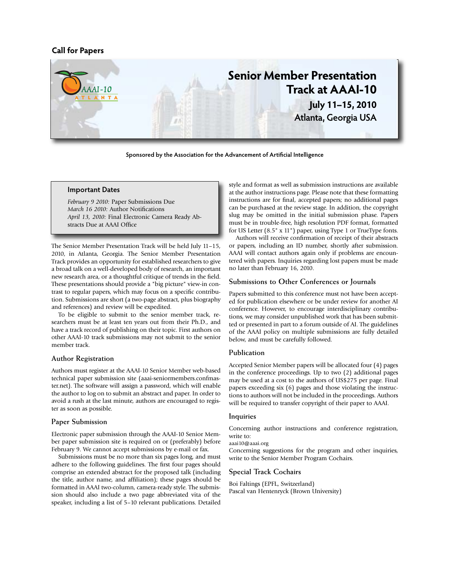## **Call for Papers**



**Sponsored by the Association for the Advancement of Artificial Intelligence**

### **Important Dates**

*February 9 2010:* Paper Submissions Due *March 16 2010:* Author Notifications *April 13, 2010:* Final Electronic Camera Ready Abstracts Due at AAAI Office

The Senior Member Presentation Track will be held July 11–15, 2010, in Atlanta, Georgia. The Senior Member Presentation Track provides an opportunity for established researchers to give a broad talk on a well-developed body of research, an important new research area, or a thoughtful critique of trends in the field. These presentations should provide a "big picture" view-in contrast to regular papers, which may focus on a specific contribution. Submissions are short (a two-page abstract, plus biography and references) and review will be expedited.

To be eligible to submit to the senior member track, researchers must be at least ten years out from their Ph.D., and have a track record of publishing on their topic. First authors on other AAAI-10 track submissions may not submit to the senior member track.

**Author Registration** Authors must register at the AAAI-10 Senior Member web-based technical paper submission site (aaai-seniormembers.confmaster.net). The software will assign a password, which will enable the author to log on to submit an abstract and paper. In order to avoid a rush at the last minute, authors are encouraged to register as soon as possible.

**Paper Submission** Electronic paper submission through the AAAI-10 Senior Member paper submission site is required on or (preferably) before February 9. We cannot accept submissions by e-mail or fax.

Submissions must be no more than six pages long, and must adhere to the following guidelines. The first four pages should comprise an extended abstract for the proposed talk (including the title, author name, and affiliation); these pages should be formatted in AAAI two-column, camera-ready style. The submission should also include a two page abbreviated vita of the speaker, including a list of 5–10 relevant publications. Detailed

style and format as well as submission instructions are available at the author instructions page. Please note that these formatting instructions are for final, accepted papers; no additional pages can be purchased at the review stage. In addition, the copyright slug may be omitted in the initial submission phase. Papers must be in trouble-free, high resolution PDF format, formatted for US Letter (8.5" x 11") paper, using Type 1 or TrueType fonts.

Authors will receive confirmation of receipt of their abstracts or papers, including an ID number, shortly after submission. AAAI will contact authors again only if problems are encountered with papers. Inquiries regarding lost papers must be made no later than February 16, 2010.

Papers submitted to this conference must not have been accepted for publication elsewhere or be under review for another AI conference. However, to encourage interdisciplinary contributions, we may consider unpublished work that has been submitted or presented in part to a forum outside of AI. The guidelines of the AAAI policy on multiple submissions are fully detailed below, and must be carefully followed.

- *Lessements*<br>Accepted Senior Member papers will be allocated four (4) pages in the conference proceedings. Up to two (2) additional pages may be used at a cost to the authors of US\$275 per page. Final papers exceeding six (6) pages and those violating the instructions to authors will not be included in the proceedings. Authors will be required to transfer copyright of their paper to AAAI.

**In the contract of the control of the Conference registration,** write to:

aaai10@aaai.org

Concerning suggestions for the program and other inquiries, write to the Senior Member Program Cochairs.

**Special Track Cochairs** Boi Faltings (EPFL, Switzerland) Pascal van Hentenryck (Brown University)